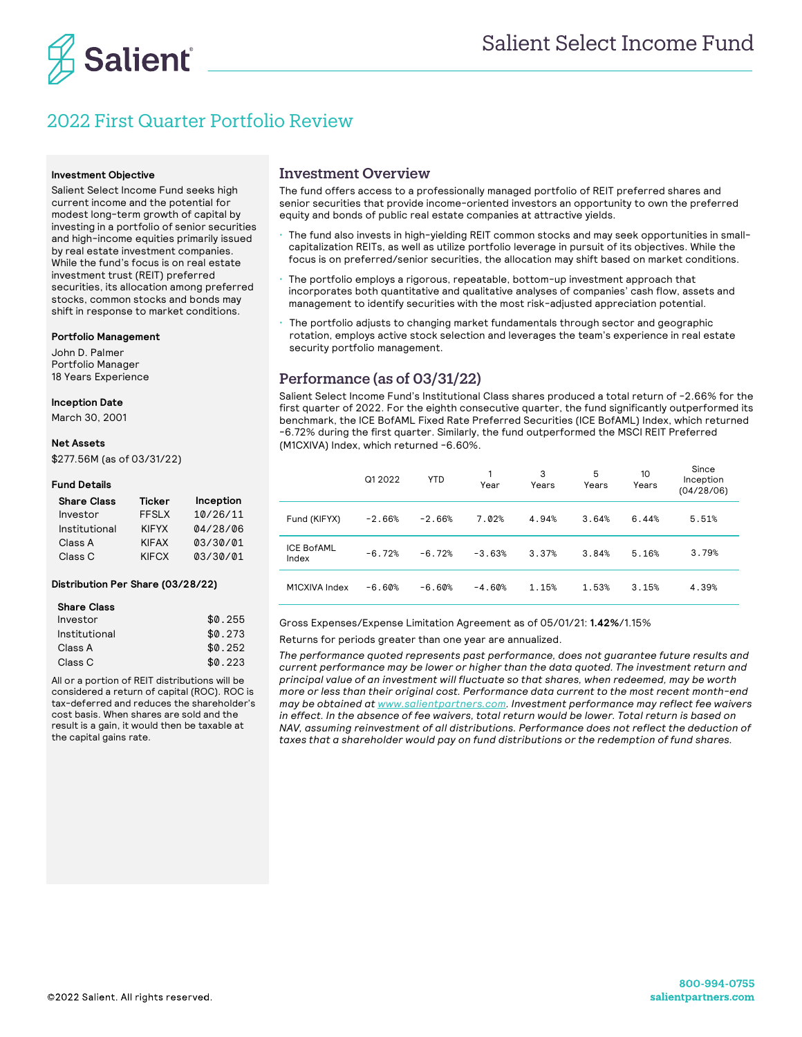

# 2022 First Quarter Portfolio Review

#### **Investment Objective**

Salient Select Income Fund seeks high current income and the potential for modest long-term growth of capital by investing in a portfolio of senior securities and high-income equities primarily issued by real estate investment companies. While the fund's focus is on real estate investment trust (REIT) preferred securities, its allocation among preferred stocks, common stocks and bonds may shift in response to market conditions.

#### **Portfolio Management**

John D. Palmer Portfolio Manager 18 Years Experience

### **Inception Date**

March 30, 2001

#### **Net Assets**

\$277.56M (as of 03/31/22)

#### **Fund Details**

| <b>Share Class</b> | <b>Ticker</b> | Inception |
|--------------------|---------------|-----------|
| Investor           | FFSI X        | 10/26/11  |
| Institutional      | <b>KIFYX</b>  | 04/28/06  |
| Class A            | <b>KIFAX</b>  | 03/30/01  |
| Class <sub>C</sub> | <b>KIFCX</b>  | 03/30/01  |

#### **Distribution Per Share (03/28/22)**

| <b>Share Class</b> |         |
|--------------------|---------|
| Investor           | \$0.255 |
| Institutional      | \$0.273 |
| Class A            | \$0.252 |
| Class C            | \$0.223 |

All or a portion of REIT distributions will be considered a return of capital (ROC). ROC is tax-deferred and reduces the shareholder's cost basis. When shares are sold and the result is a gain, it would then be taxable at the capital gains rate.

### Investment Overview

The fund offers access to a professionally managed portfolio of REIT preferred shares and senior securities that provide income-oriented investors an opportunity to own the preferred equity and bonds of public real estate companies at attractive yields.

- The fund also invests in high-yielding REIT common stocks and may seek opportunities in smallcapitalization REITs, as well as utilize portfolio leverage in pursuit of its objectives. While the focus is on preferred/senior securities, the allocation may shift based on market conditions.
- The portfolio employs a rigorous, repeatable, bottom-up investment approach that incorporates both quantitative and qualitative analyses of companies' cash flow, assets and management to identify securities with the most risk-adjusted appreciation potential.
- The portfolio adjusts to changing market fundamentals through sector and geographic rotation, employs active stock selection and leverages the team's experience in real estate security portfolio management.

# Performance (as of 03/31/22)

Salient Select Income Fund's Institutional Class shares produced a total return of -2.66% for the first quarter of 2022. For the eighth consecutive quarter, the fund significantly outperformed its benchmark, the ICE BofAML Fixed Rate Preferred Securities (ICE BofAML) Index, which returned -6.72% during the first quarter. Similarly, the fund outperformed the MSCI REIT Preferred (M1CXIVA) Index, which returned -6.60%.

|                            | Q1 2022  | <b>YTD</b> | Year     | 3<br>Years | 5<br>Years | 10<br>Years | Since<br>Inception<br>(04/28/06) |
|----------------------------|----------|------------|----------|------------|------------|-------------|----------------------------------|
| Fund (KIFYX)               | $-2.66%$ | $-2.66%$   | 7.02%    | 4.94%      | 3.64%      | 6.44%       | 5.51%                            |
| <b>ICE BofAML</b><br>Index | $-6.72%$ | $-6.72%$   | $-3.63%$ | 3.37%      | 3.84%      | 5.16%       | 3.79%                            |
| M1CXIVA Index              | $-6.60%$ | $-6.60%$   | $-4.60%$ | 1.15%      | 1.53%      | 3.15%       | 4.39%                            |

Gross Expenses/Expense Limitation Agreement as of 05/01/21: **1.42%**/1.15%

Returns for periods greater than one year are annualized.

*The performance quoted represents past performance, does not guarantee future results and current performance may be lower or higher than the data quoted. The investment return and principal value of an investment will fluctuate so that shares, when redeemed, may be worth more or less than their original cost. Performance data current to the most recent month-end may be obtained at www.salientpartners.com. Investment performance may reflect fee waivers in effect. In the absence of fee waivers, total return would be lower. Total return is based on NAV, assuming reinvestment of all distributions. Performance does not reflect the deduction of taxes that a shareholder would pay on fund distributions or the redemption of fund shares.*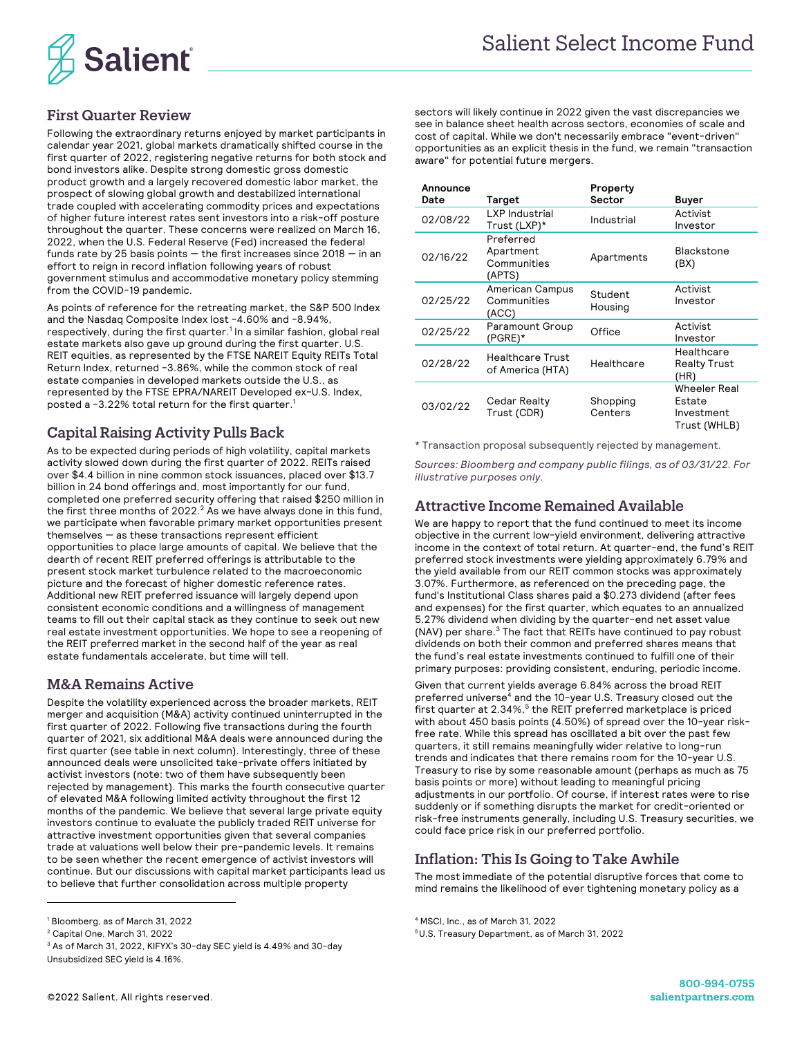

# First Quarter Review

Following the extraordinary returns enjoyed by market participants in calendar year 2021, global markets dramatically shifted course in the first quarter of 2022, registering negative returns for both stock and bond investors alike. Despite strong domestic gross domestic product growth and a largely recovered domestic labor market, the prospect of slowing global growth and destabilized international trade coupled with accelerating commodity prices and expectations of higher future interest rates sent investors into a risk-off posture throughout the quarter. These concerns were realized on March 16, 2022, when the U.S. Federal Reserve (Fed) increased the federal funds rate by 25 basis points  $-$  the first increases since 2018  $-$  in an effort to reign in record inflation following years of robust government stimulus and accommodative monetary policy stemming from the COVID-19 pandemic.

As points of reference for the retreating market, the S&P 500 Index and the Nasdaq Composite Index lost -4.60% and -8.94%, respectively, during the first quarter.<sup>1</sup> In a similar fashion, global real estate markets also gave up ground during the first quarter. U.S. REIT equities, as represented by the FTSE NAREIT Equity REITs Total Return Index, returned -3.86%, while the common stock of real estate companies in developed markets outside the U.S., as represented by the FTSE EPRA/NAREIT Developed ex-U.S. Index, posted a -3.22% total return for the first quarter. 1

## Capital Raising Activity Pulls Back

As to be expected during periods of high volatility, capital markets activity slowed down during the first quarter of 2022. REITs raised over \$4.4 billion in nine common stock issuances, placed over \$13.7 billion in 24 bond offerings and, most importantly for our fund, completed one preferred security offering that raised \$250 million in the first three months of 2022. $^2$  As we have always done in this fund, we participate when favorable primary market opportunities present  $themselves - as these transactions represent efficient$ opportunities to place large amounts of capital. We believe that the dearth of recent REIT preferred offerings is attributable to the present stock market turbulence related to the macroeconomic picture and the forecast of higher domestic reference rates. Additional new REIT preferred issuance will largely depend upon consistent economic conditions and a willingness of management teams to fill out their capital stack as they continue to seek out new real estate investment opportunities. We hope to see a reopening of the REIT preferred market in the second half of the year as real estate fundamentals accelerate, but time will tell.

## M&A Remains Active

Despite the volatility experienced across the broader markets, REIT merger and acquisition (M&A) activity continued uninterrupted in the first quarter of 2022. Following five transactions during the fourth quarter of 2021, six additional M&A deals were announced during the first quarter (see table in next column). Interestingly, three of these announced deals were unsolicited take-private offers initiated by activist investors (note: two of them have subsequently been rejected by management). This marks the fourth consecutive quarter of elevated M&A following limited activity throughout the first 12 months of the pandemic. We believe that several large private equity investors continue to evaluate the publicly traded REIT universe for attractive investment opportunities given that several companies trade at valuations well below their pre-pandemic levels. It remains to be seen whether the recent emergence of activist investors will continue. But our discussions with capital market participants lead us to believe that further consolidation across multiple property

sectors will likely continue in 2022 given the vast discrepancies we see in balance sheet health across sectors, economies of scale and cost of capital. While we don't necessarily embrace "event-driven" opportunities as an explicit thesis in the fund, we remain "transaction aware" for potential future mergers.

| Announce<br>Date | Target                                          | Property<br>Sector  | Buyer                                                |
|------------------|-------------------------------------------------|---------------------|------------------------------------------------------|
| 02/08/22         | LXP Industrial<br>Trust (LXP)*                  | Industrial          | Activist<br>Investor                                 |
| 02/16/22         | Preferred<br>Apartment<br>Communities<br>(APTS) | Apartments          | <b>Blackstone</b><br>(BX)                            |
| 02/25/22         | American Campus<br>Communities<br>(ACC)         | Student<br>Housing  | Activist<br>Investor                                 |
| 02/25/22         | Paramount Group<br>$(PGRE)^*$                   | Office              | Activist<br>Investor                                 |
| 02/28/22         | <b>Healthcare Trust</b><br>of America (HTA)     | Healthcare          | Healthcare<br>Realty Trust<br>(HR)                   |
| 03/02/22         | Cedar Realty<br>Trust (CDR)                     | Shopping<br>Centers | Wheeler Real<br>Estate<br>Investment<br>Trust (WHLB) |

\* Transaction proposal subsequently rejected by management.

*Sources: Bloomberg and company public filings, as of 03/31/22. For illustrative purposes only.*

## Attractive Income Remained Available

We are happy to report that the fund continued to meet its income objective in the current low-yield environment, delivering attractive income in the context of total return. At quarter-end, the fund's REIT preferred stock investments were yielding approximately 6.79% and the yield available from our REIT common stocks was approximately 3.07%. Furthermore, as referenced on the preceding page, the fund's Institutional Class shares paid a \$0.273 dividend (after fees and expenses) for the first quarter, which equates to an annualized 5.27% dividend when dividing by the quarter-end net asset value (NAV) per share. $3$  The fact that REITs have continued to pay robust dividends on both their common and preferred shares means that the fund's real estate investments continued to fulfill one of their primary purposes: providing consistent, enduring, periodic income.

Given that current yields average 6.84% across the broad REIT preferred universe<sup>4</sup> and the 10-year U.S. Treasury closed out the first quarter at  $2.34\%$ ,  $5$  the REIT preferred marketplace is priced with about 450 basis points (4.50%) of spread over the 10-year riskfree rate. While this spread has oscillated a bit over the past few quarters, it still remains meaningfully wider relative to long-run trends and indicates that there remains room for the 10-year U.S. Treasury to rise by some reasonable amount (perhaps as much as 75 basis points or more) without leading to meaningful pricing adjustments in our portfolio. Of course, if interest rates were to rise suddenly or if something disrupts the market for credit-oriented or risk-free instruments generally, including U.S. Treasury securities, we could face price risk in our preferred portfolio.

# Inflation: This Is Going to Take Awhile

The most immediate of the potential disruptive forces that come to mind remains the likelihood of ever tightening monetary policy as a

<sup>1</sup> Bloomberg, as of March 31, 2022

<sup>2</sup> Capital One, March 31, 2022

 $3$  As of March 31, 2022, KIFYX's 30-day SEC yield is 4.49% and 30-day Unsubsidized SEC yield is 4.16%.

<sup>4</sup> MSCI, Inc., as of March 31, 2022

<sup>5</sup>U.S. Treasury Department, as of March 31, 2022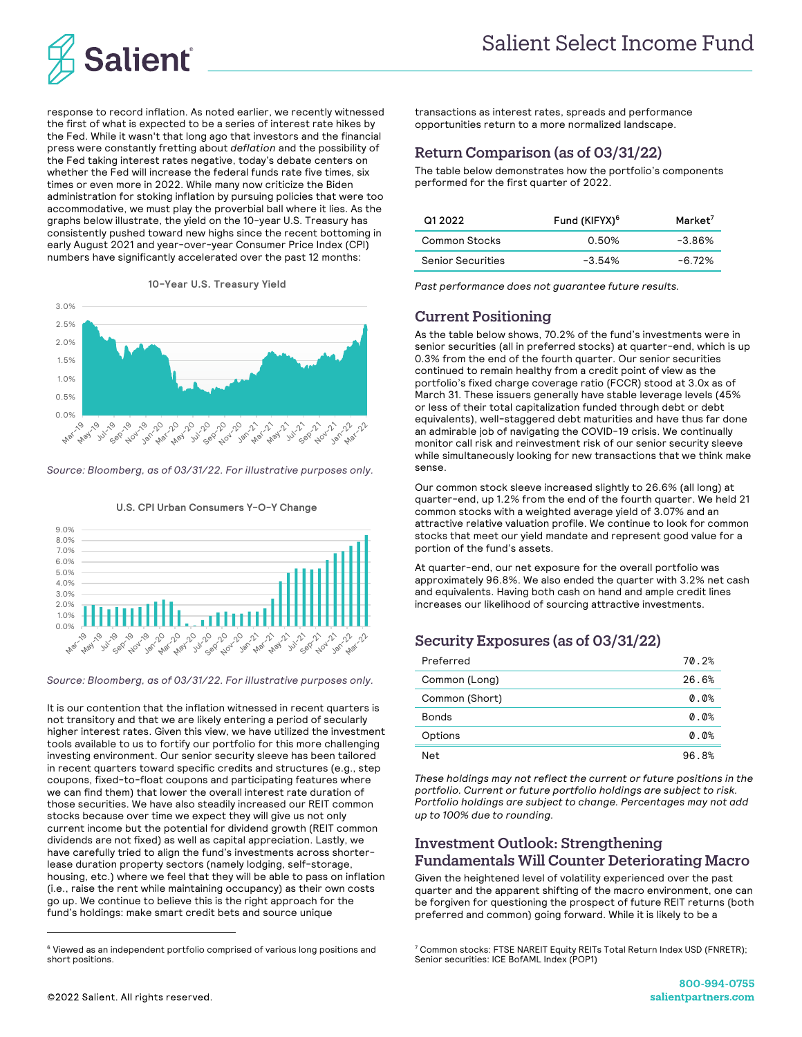

response to record inflation. As noted earlier, we recently witnessed the first of what is expected to be a series of interest rate hikes by the Fed. While it wasn't that long ago that investors and the financial press were constantly fretting about *deflation* and the possibility of the Fed taking interest rates negative, today's debate centers on whether the Fed will increase the federal funds rate five times, six times or even more in 2022. While many now criticize the Biden administration for stoking inflation by pursuing policies that were too accommodative, we must play the proverbial ball where it lies. As the graphs below illustrate, the yield on the 10-year U.S. Treasury has consistently pushed toward new highs since the recent bottoming in early August 2021 and year-over-year Consumer Price Index (CPI) numbers have significantly accelerated over the past 12 months:





*Source: Bloomberg, as of 03/31/22. For illustrative purposes only.*



**U.S. CPI Urban Consumers Y-O-Y Change**

*Source: Bloomberg, as of 03/31/22. For illustrative purposes only.*

It is our contention that the inflation witnessed in recent quarters is not transitory and that we are likely entering a period of secularly higher interest rates. Given this view, we have utilized the investment tools available to us to fortify our portfolio for this more challenging investing environment. Our senior security sleeve has been tailored in recent quarters toward specific credits and structures (e.g., step coupons, fixed-to-float coupons and participating features where we can find them) that lower the overall interest rate duration of those securities. We have also steadily increased our REIT common stocks because over time we expect they will give us not only current income but the potential for dividend growth (REIT common dividends are not fixed) as well as capital appreciation. Lastly, we have carefully tried to align the fund's investments across shorterlease duration property sectors (namely lodging, self-storage, housing, etc.) where we feel that they will be able to pass on inflation (i.e., raise the rent while maintaining occupancy) as their own costs go up. We continue to believe this is the right approach for the fund's holdings: make smart credit bets and source unique

transactions as interest rates, spreads and performance opportunities return to a more normalized landscape.

### Return Comparison (as of 03/31/22)

The table below demonstrates how the portfolio's components performed for the first quarter of 2022.

| Q1 2022                  | Fund (KIFYX) <sup>6</sup> | Market <sup>7</sup> |
|--------------------------|---------------------------|---------------------|
| Common Stocks            | 0.50%                     | -3.86%              |
| <b>Senior Securities</b> | $-3.54%$                  | $-6.72%$            |

*Past performance does not guarantee future results.*

# Current Positioning

As the table below shows, 70.2% of the fund's investments were in senior securities (all in preferred stocks) at quarter-end, which is up 0.3% from the end of the fourth quarter. Our senior securities continued to remain healthy from a credit point of view as the portfolio's fixed charge coverage ratio (FCCR) stood at 3.0x as of March 31. These issuers generally have stable leverage levels (45% or less of their total capitalization funded through debt or debt equivalents), well-staggered debt maturities and have thus far done an admirable job of navigating the COVID-19 crisis. We continually monitor call risk and reinvestment risk of our senior security sleeve while simultaneously looking for new transactions that we think make sense.

Our common stock sleeve increased slightly to 26.6% (all long) at quarter-end, up 1.2% from the end of the fourth quarter. We held 21 common stocks with a weighted average yield of 3.07% and an attractive relative valuation profile. We continue to look for common stocks that meet our yield mandate and represent good value for a portion of the fund's assets.

At quarter-end, our net exposure for the overall portfolio was approximately 96.8%. We also ended the quarter with 3.2% net cash and equivalents. Having both cash on hand and ample credit lines increases our likelihood of sourcing attractive investments.

## Security Exposures (as of 03/31/22)

| Preferred      | 70.2% |
|----------------|-------|
| Common (Long)  | 26.6% |
| Common (Short) | 0.0%  |
| <b>Bonds</b>   | 0.0%  |
| Options        | 0.0%  |
| Net            | 96.8% |

*These holdings may not reflect the current or future positions in the portfolio. Current or future portfolio holdings are subject to risk. Portfolio holdings are subject to change. Percentages may not add up to 100% due to rounding.*

### Investment Outlook: Strengthening Fundamentals Will Counter Deteriorating Macro

Given the heightened level of volatility experienced over the past quarter and the apparent shifting of the macro environment, one can be forgiven for questioning the prospect of future REIT returns (both preferred and common) going forward. While it is likely to be a

<sup>&</sup>lt;sup>6</sup> Viewed as an independent portfolio comprised of various long positions and short positions.

<sup>7</sup> Common stocks: FTSE NAREIT Equity REITs Total Return Index USD (FNRETR); Senior securities: ICE BofAML Index (POP1)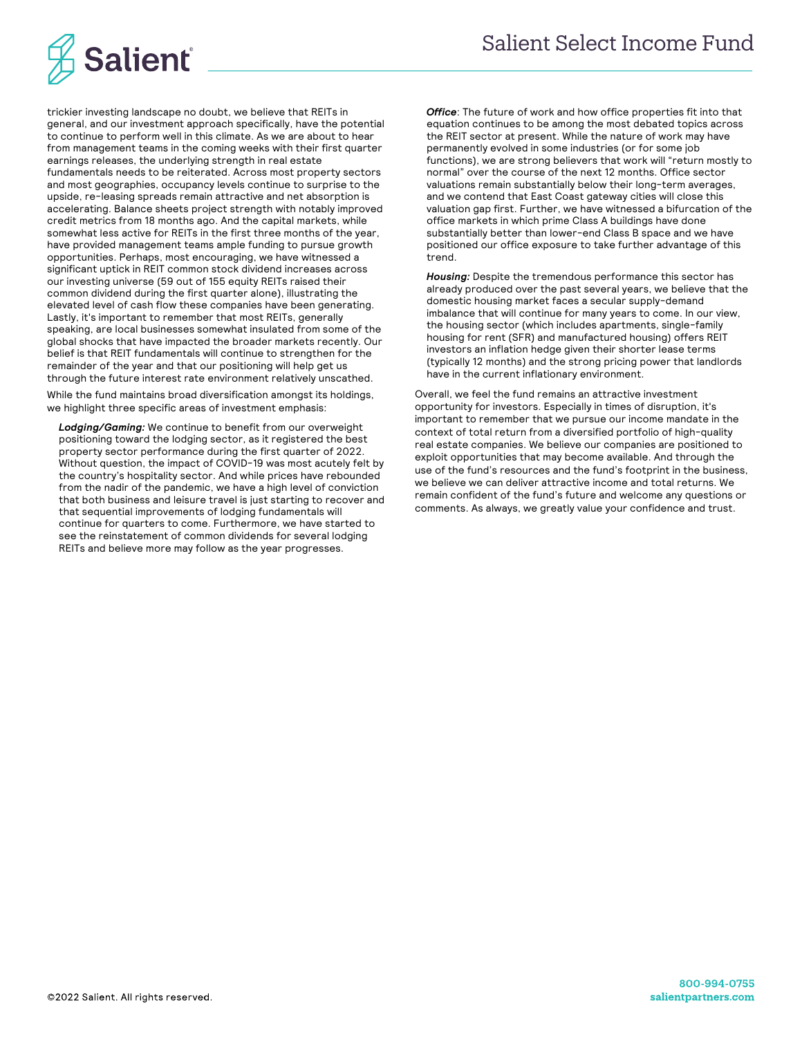

trickier investing landscape no doubt, we believe that REITs in general, and our investment approach specifically, have the potential to continue to perform well in this climate. As we are about to hear from management teams in the coming weeks with their first quarter earnings releases, the underlying strength in real estate fundamentals needs to be reiterated. Across most property sectors and most geographies, occupancy levels continue to surprise to the upside, re-leasing spreads remain attractive and net absorption is accelerating. Balance sheets project strength with notably improved credit metrics from 18 months ago. And the capital markets, while somewhat less active for REITs in the first three months of the year, have provided management teams ample funding to pursue growth opportunities. Perhaps, most encouraging, we have witnessed a significant uptick in REIT common stock dividend increases across our investing universe (59 out of 155 equity REITs raised their common dividend during the first quarter alone), illustrating the elevated level of cash flow these companies have been generating. Lastly, it's important to remember that most REITs, generally speaking, are local businesses somewhat insulated from some of the global shocks that have impacted the broader markets recently. Our belief is that REIT fundamentals will continue to strengthen for the remainder of the year and that our positioning will help get us through the future interest rate environment relatively unscathed.

While the fund maintains broad diversification amongst its holdings, we highlight three specific areas of investment emphasis:

*Lodging/Gaming:* We continue to benefit from our overweight positioning toward the lodging sector, as it registered the best property sector performance during the first quarter of 2022. Without question, the impact of COVID-19 was most acutely felt by the country's hospitality sector. And while prices have rebounded from the nadir of the pandemic, we have a high level of conviction that both business and leisure travel is just starting to recover and that sequential improvements of lodging fundamentals will continue for quarters to come. Furthermore, we have started to see the reinstatement of common dividends for several lodging REITs and believe more may follow as the year progresses.

**Office**: The future of work and how office properties fit into that equation continues to be among the most debated topics across the REIT sector at present. While the nature of work may have permanently evolved in some industries (or for some job functions), we are strong believers that work will "return mostly to normal" over the course of the next 12 months. Office sector valuations remain substantially below their long-term averages, and we contend that East Coast gateway cities will close this valuation gap first. Further, we have witnessed a bifurcation of the office markets in which prime Class A buildings have done substantially better than lower-end Class B space and we have positioned our office exposure to take further advantage of this trend.

*Housing:* Despite the tremendous performance this sector has already produced over the past several years, we believe that the domestic housing market faces a secular supply-demand imbalance that will continue for many years to come. In our view, the housing sector (which includes apartments, single-family housing for rent (SFR) and manufactured housing) offers REIT investors an inflation hedge given their shorter lease terms (typically 12 months) and the strong pricing power that landlords have in the current inflationary environment.

Overall, we feel the fund remains an attractive investment opportunity for investors. Especially in times of disruption, it's important to remember that we pursue our income mandate in the context of total return from a diversified portfolio of high-quality real estate companies. We believe our companies are positioned to exploit opportunities that may become available. And through the use of the fund's resources and the fund's footprint in the business, we believe we can deliver attractive income and total returns. We remain confident of the fund's future and welcome any questions or comments. As always, we greatly value your confidence and trust.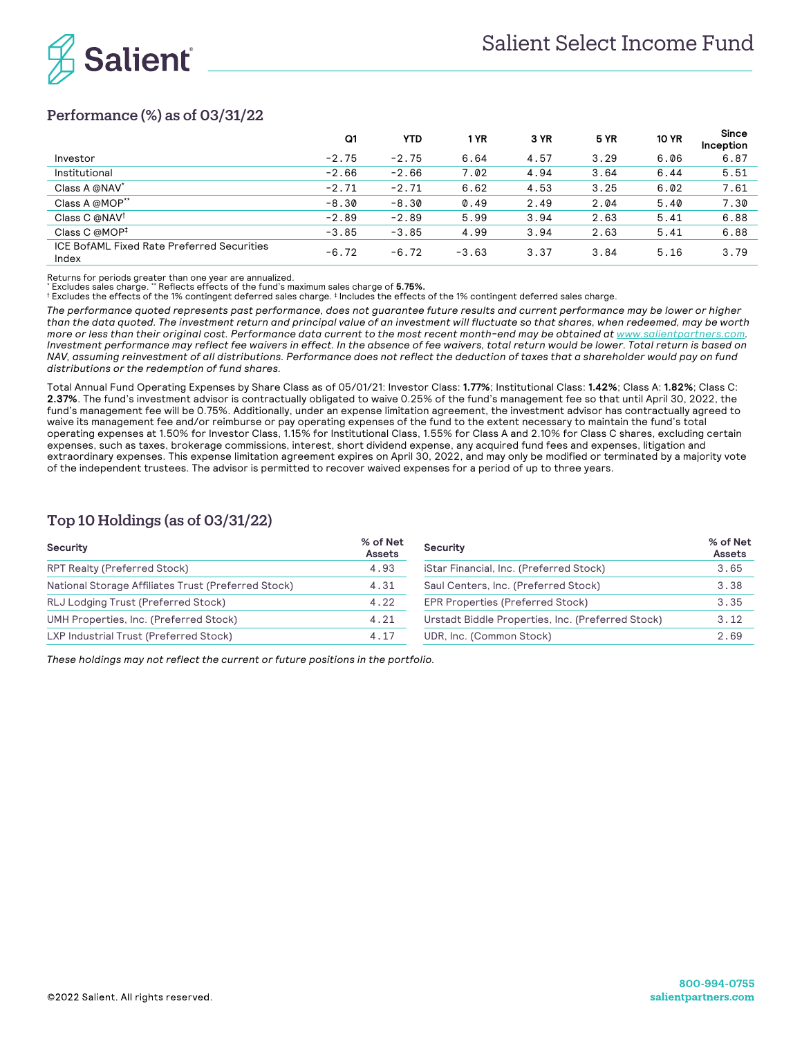

# Performance (%) as of 03/31/22

|                                                     | Q1      | <b>YTD</b> | ∣ YR    | 3 YR | 5 YR | <b>10 YR</b> | Since<br>Inception |
|-----------------------------------------------------|---------|------------|---------|------|------|--------------|--------------------|
| Investor                                            | $-2.75$ | $-2.75$    | 6.64    | 4.57 | 3.29 | 6.06         | 6.87               |
| Institutional                                       | $-2.66$ | $-2.66$    | 7.02    | 4.94 | 3.64 | 6.44         | 5.51               |
| Class A @NAV*                                       | $-2.71$ | $-2.71$    | 6.62    | 4.53 | 3.25 | 6.02         | 7.61               |
| Class A @MOP**                                      | $-8.30$ | $-8.30$    | 0.49    | 2.49 | 2.04 | 5.40         | 7.30               |
| Class C @NAV <sup>†</sup>                           | $-2.89$ | $-2.89$    | 5.99    | 3.94 | 2.63 | 5.41         | 6.88               |
| Class C @MOP <sup>‡</sup>                           | $-3.85$ | $-3.85$    | 4.99    | 3.94 | 2.63 | 5.41         | 6.88               |
| ICE BofAML Fixed Rate Preferred Securities<br>Index | $-6.72$ | $-6.72$    | $-3.63$ | 3.37 | 3.84 | 5.16         | 3.79               |

Returns for periods greater than one year are annualized.

\* Excludes sales charge. \*\* Reflects effects of the fund's maximum sales charge of **5.75%.**

† Excludes the effects of the 1% contingent deferred sales charge. ‡ Includes the effects of the 1% contingent deferred sales charge.

*The performance quoted represents past performance, does not guarantee future results and current performance may be lower or higher than the data quoted. The investment return and principal value of an investment will fluctuate so that shares, when redeemed, may be worth more or less than their original cost. Performance data current to the most recent month-end may be obtained at www.salientpartners.com. Investment performance may reflect fee waivers in effect. In the absence of fee waivers, total return would be lower. Total return is based on NAV, assuming reinvestment of all distributions. Performance does not reflect the deduction of taxes that a shareholder would pay on fund distributions or the redemption of fund shares.*

Total Annual Fund Operating Expenses by Share Class as of 05/01/21: Investor Class: **1.77%**; Institutional Class: **1.42%**; Class A: **1.82%**; Class C: **2.37%**. The fund's investment advisor is contractually obligated to waive 0.25% of the fund's management fee so that until April 30, 2022, the fund's management fee will be 0.75%. Additionally, under an expense limitation agreement, the investment advisor has contractually agreed to waive its management fee and/or reimburse or pay operating expenses of the fund to the extent necessary to maintain the fund's total operating expenses at 1.50% for Investor Class, 1.15% for Institutional Class, 1.55% for Class A and 2.10% for Class C shares, excluding certain expenses, such as taxes, brokerage commissions, interest, short dividend expense, any acquired fund fees and expenses, litigation and extraordinary expenses. This expense limitation agreement expires on April 30, 2022, and may only be modified or terminated by a majority vote of the independent trustees. The advisor is permitted to recover waived expenses for a period of up to three years.

### Top 10 Holdings (as of 03/31/22)

| Security                                            | % of Net<br><b>Assets</b> | Security                                          | % of Net<br>Assets |
|-----------------------------------------------------|---------------------------|---------------------------------------------------|--------------------|
| RPT Realty (Preferred Stock)                        | 4.93                      | iStar Financial, Inc. (Preferred Stock)           | 3.65               |
| National Storage Affiliates Trust (Preferred Stock) | 4.31                      | Saul Centers, Inc. (Preferred Stock)              | 3.38               |
| RLJ Lodging Trust (Preferred Stock)                 | 4.22                      | EPR Properties (Preferred Stock)                  | 3.35               |
| UMH Properties, Inc. (Preferred Stock)              | 4.21                      | Urstadt Biddle Properties, Inc. (Preferred Stock) | 3.12               |
| LXP Industrial Trust (Preferred Stock)              | 4.17                      | UDR, Inc. (Common Stock)                          | 2.69               |

*These holdings may not reflect the current or future positions in the portfolio.*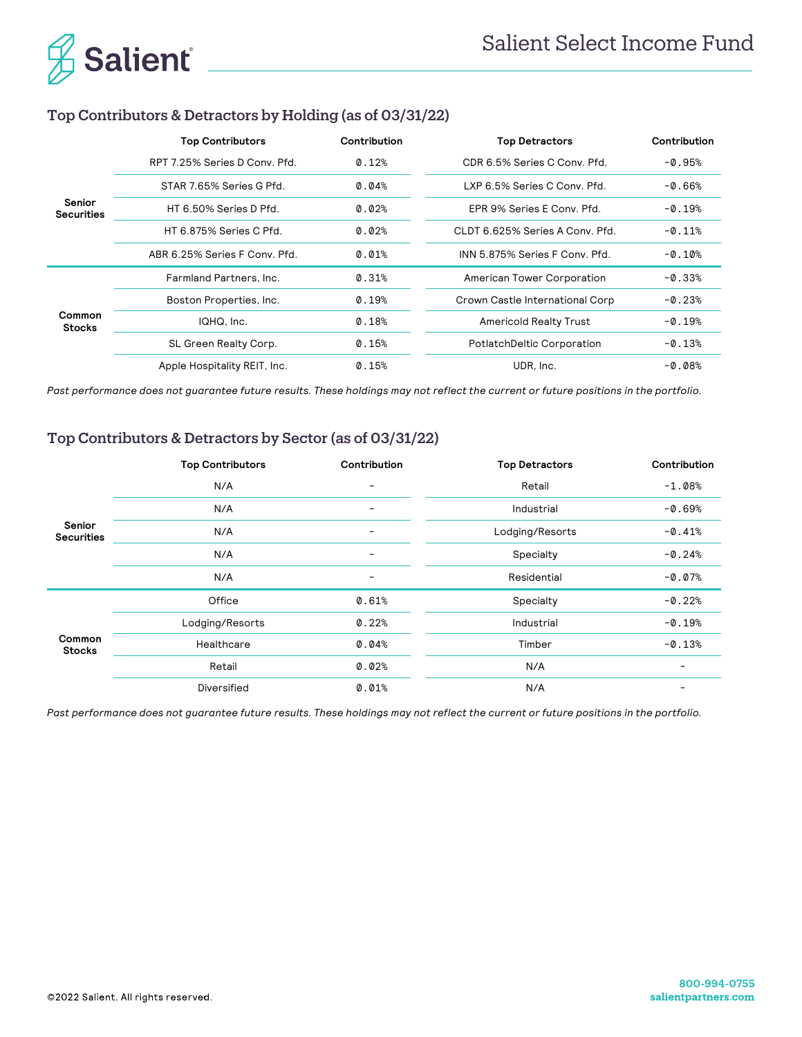

# Top Contributors & Detractors by Holding (as of 03/31/22)

|                             | <b>Top Contributors</b>       | Contribution | <b>Top Detractors</b>             | Contribution |
|-----------------------------|-------------------------------|--------------|-----------------------------------|--------------|
|                             | RPT 7.25% Series D Conv. Pfd. | 0.12%        | CDR 6.5% Series C Conv. Pfd.      | $-0.95%$     |
|                             | STAR 7.65% Series G Pfd.      | 0.04%        | LXP 6.5% Series C Conv. Pfd.      | $-0.66%$     |
| Senior<br><b>Securities</b> | HT 6.50% Series D Pfd.        | 0.02%        | EPR 9% Series E Conv. Pfd.        | $-0.19%$     |
|                             | HT 6.875% Series C Pfd.       | 0.02%        | CLDT 6.625% Series A Conv. Pfd.   | $-0.11%$     |
|                             | ABR 6.25% Series F Conv. Pfd. | 0.01%        | INN 5.875% Series F Conv. Pfd.    | $-0.10%$     |
|                             | Farmland Partners, Inc.       | 0.31%        | American Tower Corporation        | $-0.33%$     |
|                             | Boston Properties, Inc.       | 0.19%        | Crown Castle International Corp   | $-0.23%$     |
| Common<br><b>Stocks</b>     | IQHQ, Inc.                    | 0.18%        | <b>Americold Realty Trust</b>     | $-0.19%$     |
|                             | SL Green Realty Corp.         | 0.15%        | <b>PotlatchDeltic Corporation</b> | $-0.13%$     |
|                             | Apple Hospitality REIT, Inc.  | 0.15%        | UDR. Inc.                         | $-0.08%$     |

*Past performance does not guarantee future results. These holdings may not reflect the current or future positions in the portfolio.*

# Top Contributors & Detractors by Sector (as of 03/31/22)

|                             | <b>Top Contributors</b> | Contribution | <b>Top Detractors</b> | Contribution |
|-----------------------------|-------------------------|--------------|-----------------------|--------------|
|                             | N/A                     | -            | Retail                | $-1.08%$     |
|                             | N/A                     | -            | Industrial            | $-0.69%$     |
| Senior<br><b>Securities</b> | N/A                     | -            | Lodging/Resorts       | $-0.41%$     |
|                             | N/A                     | Ξ.           | Specialty             | $-0.24%$     |
|                             | N/A                     | -            | Residential           | $-0.07%$     |
|                             | Office                  | 0.61%        | Specialty             | $-0.22%$     |
|                             | Lodging/Resorts         | 0.22%        | Industrial            | $-0.19%$     |
| Common<br><b>Stocks</b>     | Healthcare              | 0.04%        | Timber                | $-0.13%$     |
|                             | Retail                  | 0.02%        | N/A                   |              |
|                             | Diversified             | 0.01%        | N/A                   |              |

*Past performance does not guarantee future results. These holdings may not reflect the current or future positions in the portfolio.*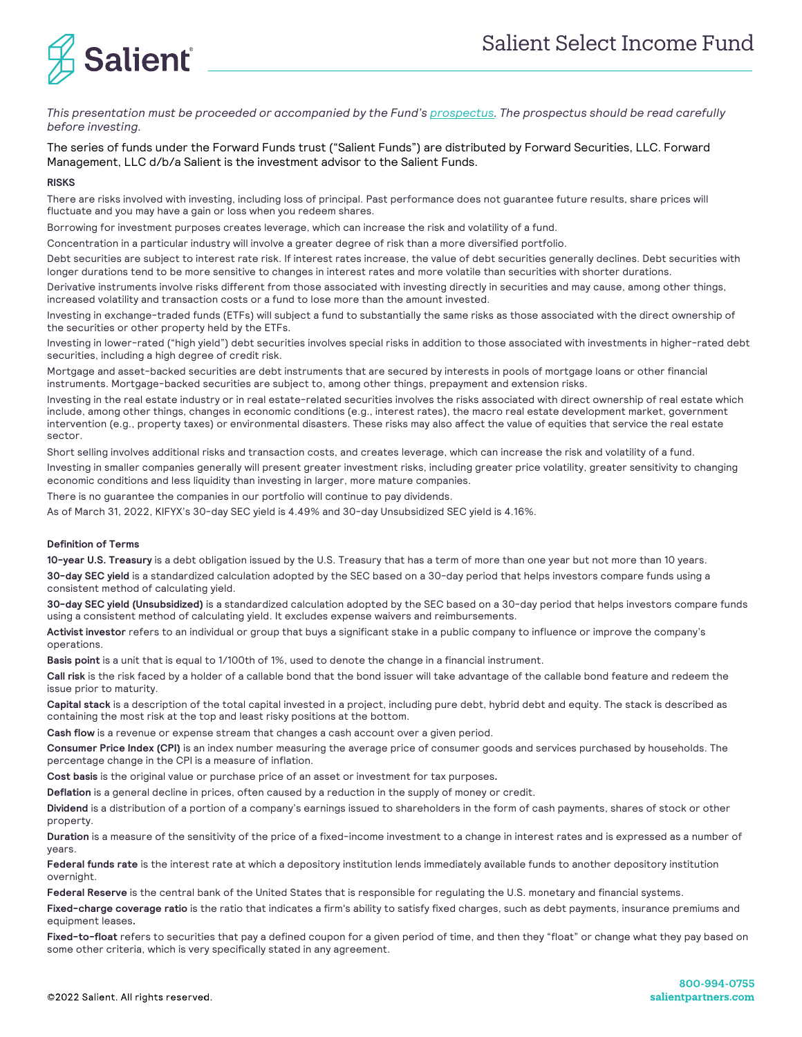

*This presentation must be proceeded or accompanied by the Fund's prospectus. The prospectus should be read carefully before investing.* 

The series of funds under the Forward Funds trust ("Salient Funds") are distributed by Forward Securities, LLC. Forward Management, LLC d/b/a Salient is the investment advisor to the Salient Funds.

#### **RISKS**

There are risks involved with investing, including loss of principal. Past performance does not guarantee future results, share prices will fluctuate and you may have a gain or loss when you redeem shares.

Borrowing for investment purposes creates leverage, which can increase the risk and volatility of a fund.

Concentration in a particular industry will involve a greater degree of risk than a more diversified portfolio.

Debt securities are subject to interest rate risk. If interest rates increase, the value of debt securities generally declines. Debt securities with longer durations tend to be more sensitive to changes in interest rates and more volatile than securities with shorter durations.

Derivative instruments involve risks different from those associated with investing directly in securities and may cause, among other things, increased volatility and transaction costs or a fund to lose more than the amount invested.

Investing in exchange-traded funds (ETFs) will subject a fund to substantially the same risks as those associated with the direct ownership of the securities or other property held by the ETFs.

Investing in lower-rated ("high yield") debt securities involves special risks in addition to those associated with investments in higher-rated debt securities, including a high degree of credit risk.

Mortgage and asset-backed securities are debt instruments that are secured by interests in pools of mortgage loans or other financial instruments. Mortgage-backed securities are subject to, among other things, prepayment and extension risks.

Investing in the real estate industry or in real estate-related securities involves the risks associated with direct ownership of real estate which include, among other things, changes in economic conditions (e.g., interest rates), the macro real estate development market, government intervention (e.g., property taxes) or environmental disasters. These risks may also affect the value of equities that service the real estate sector.

Short selling involves additional risks and transaction costs, and creates leverage, which can increase the risk and volatility of a fund. Investing in smaller companies generally will present greater investment risks, including greater price volatility, greater sensitivity to changing economic conditions and less liquidity than investing in larger, more mature companies.

There is no guarantee the companies in our portfolio will continue to pay dividends.

As of March 31, 2022, KIFYX's 30-day SEC yield is 4.49% and 30-day Unsubsidized SEC yield is 4.16%.

#### **Definition of Terms**

**10-year U.S. Treasury** is a debt obligation issued by the U.S. Treasury that has a term of more than one year but not more than 10 years. **30-day SEC yield** is a standardized calculation adopted by the SEC based on a 30-day period that helps investors compare funds using a consistent method of calculating yield.

**30-day SEC yield (Unsubsidized)** is a standardized calculation adopted by the SEC based on a 30-day period that helps investors compare funds using a consistent method of calculating yield. It excludes expense waivers and reimbursements.

**Activist investor** refers to an individual or group that buys a significant stake in a public company to influence or improve the company's operations.

**Basis point** is a unit that is equal to 1/100th of 1%, used to denote the change in a financial instrument.

**Call risk** is the risk faced by a holder of a callable bond that the bond issuer will take advantage of the callable bond feature and redeem the issue prior to maturity.

**Capital stack** is a description of the total capital invested in a project, including pure debt, hybrid debt and equity. The stack is described as containing the most risk at the top and least risky positions at the bottom.

**Cash flow** is a revenue or expense stream that changes a cash account over a given period.

**Consumer Price Index (CPI)** is an index number measuring the average price of consumer goods and services purchased by households. The percentage change in the CPI is a measure of inflation.

**Cost basis** is the original value or purchase price of an asset or investment for tax purposes**.**

**Deflation** is a general decline in prices, often caused by a reduction in the supply of money or credit.

**Dividend** is a distribution of a portion of a company's earnings issued to shareholders in the form of cash payments, shares of stock or other property.

**Duration** is a measure of the sensitivity of the price of a fixed-income investment to a change in interest rates and is expressed as a number of years.

**Federal funds rate** is the interest rate at which a depository institution lends immediately available funds to another depository institution overnight.

**Federal Reserve** is the central bank of the United States that is responsible for regulating the U.S. monetary and financial systems.

**Fixed-charge coverage ratio** is the ratio that indicates a firm's ability to satisfy fixed charges, such as debt payments, insurance premiums and equipment leases**.**

**Fixed-to-float** refers to securities that pay a defined coupon for a given period of time, and then they "float" or change what they pay based on some other criteria, which is very specifically stated in any agreement.